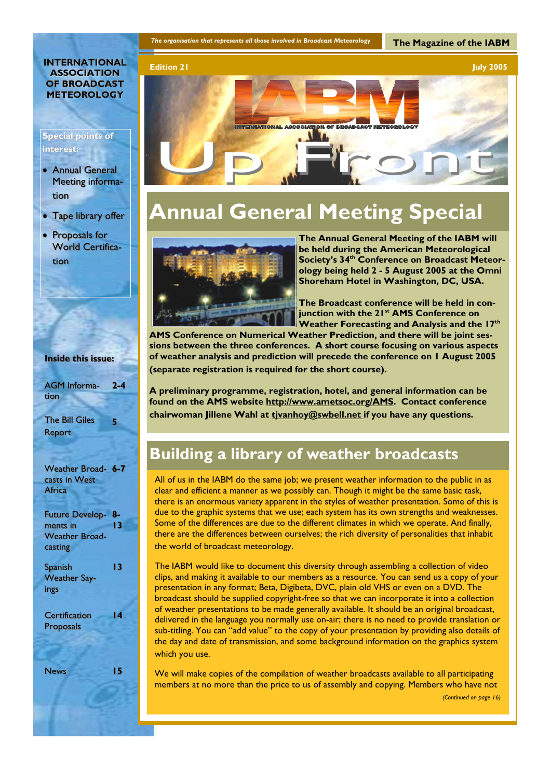## **INTERNATIONAL ASSOCIATION OF BROADCAST METEOROLOGY**

## **Special points of interest: interest:**

- $\bullet$  Annual General Meeting information
- Tape library offer
- Proposals for World Certification

| <b>Inside this issue:</b>                     |          |
|-----------------------------------------------|----------|
| <b>AGM</b> Informa-<br>tion                   | $2 - 4$  |
| <b>The Bill Giles</b><br>Report               | 5        |
|                                               |          |
| Weather Broad- 6-7<br>casts in West<br>Africa |          |
| <b>Future Develop-</b><br>ments in            | 8-<br>13 |
| <b>Weather Broad-</b><br>casting              |          |
| <b>Spanish</b><br><b>Weather Say-</b><br>ings | 13       |
| <b>Certification</b><br><b>Proposals</b>      | 14       |
| <b>News</b>                                   | 15       |

**The Magazine of the IABM** 



# **Annual General Meeting Special**



**The Annual General Meeting of the IABM will be held during the American Meteorological**  Society's 34<sup>th</sup> Conference on Broadcast Meteor**ology being held 2 - 5 August 2005 at the Omni Shoreham Hotel in Washington, DC, USA.** 

**The Broadcast conference will be held in conjunction with the 21st AMS Conference on Weather Forecasting and Analysis and the 17th**

**AMS Conference on Numerical Weather Prediction, and there will be joint sessions between the three conferences. A short course focusing on various aspects of weather analysis and prediction will precede the conference on 1 August 2005 (separate registration is required for the short course).** 

**A preliminary programme, registration, hotel, and general information can be found on the AMS website http://www.ametsoc.org/AMS. Contact conference**  chairwoman Jillene Wahl at tivanhoy@swbell.net if you have any questions.

## **Building a library of weather broadcasts**

All of us in the IABM do the same job; we present weather information to the public in as clear and efficient a manner as we possibly can. Though it might be the same basic task, there is an enormous variety apparent in the styles of weather presentation. Some of this is due to the graphic systems that we use; each system has its own strengths and weaknesses. Some of the differences are due to the different climates in which we operate. And finally, there are the differences between ourselves; the rich diversity of personalities that inhabit the world of broadcast meteorology.

The IABM would like to document this diversity through assembling a collection of video clips, and making it available to our members as a resource. You can send us a copy of your presentation in any format; Beta, Digibeta, DVC, plain old VHS or even on a DVD. The broadcast should be supplied copyright-free so that we can incorporate it into a collection of weather presentations to be made generally available. It should be an original broadcast, delivered in the language you normally use on-air; there is no need to provide translation or sub-titling. You can "add value" to the copy of your presentation by providing also details of the day and date of transmission, and some background information on the graphics system which you use.

We will make copies of the compilation of weather broadcasts available to all participating members at no more than the price to us of assembly and copying. Members who have not

```
(Continued on page 16)
```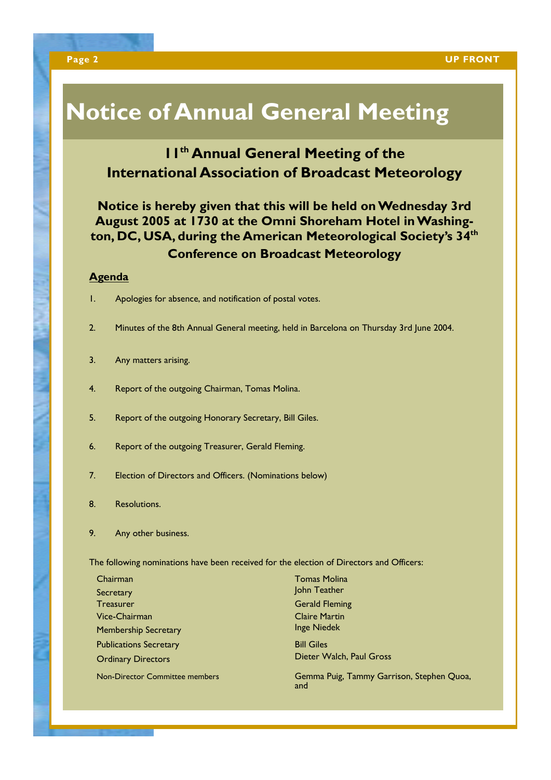# **Notice of Annual General Meeting**

## **11<sup>th</sup> Annual General Meeting of the International Association of Broadcast Meteorology**

## **Notice is hereby given that this will be held on Wednesday 3rd August 2005 at 1730 at the Omni Shoreham Hotel in Washington, DC, USA, during the American Meteorological Society's 34th Conference on Broadcast Meteorology**

## **Agenda**

- 1. Apologies for absence, and notification of postal votes.
- 2. Minutes of the 8th Annual General meeting, held in Barcelona on Thursday 3rd June 2004.
- 3. Any matters arising.
- 4. Report of the outgoing Chairman, Tomas Molina.
- 5. Report of the outgoing Honorary Secretary, Bill Giles.
- 6. Report of the outgoing Treasurer, Gerald Fleming.
- 7. Election of Directors and Officers. (Nominations below)
- 8. Resolutions.
- 9. Any other business.

The following nominations have been received for the election of Directors and Officers:

| Chairman                              |
|---------------------------------------|
| Secretary                             |
| <b>Treasurer</b>                      |
| Vice-Chairman                         |
| <b>Membership Secretary</b>           |
| <b>Publications Secretary</b>         |
| <b>Ordinary Directors</b>             |
| <b>Non-Director Committee members</b> |

**Tomas Molina** John Teather **Gerald Fleming Claire Martin Inge Niedek Bill Giles** Dieter Walch, Paul Gross

Gemma Puig, Tammy Garrison, Stephen Quoa, and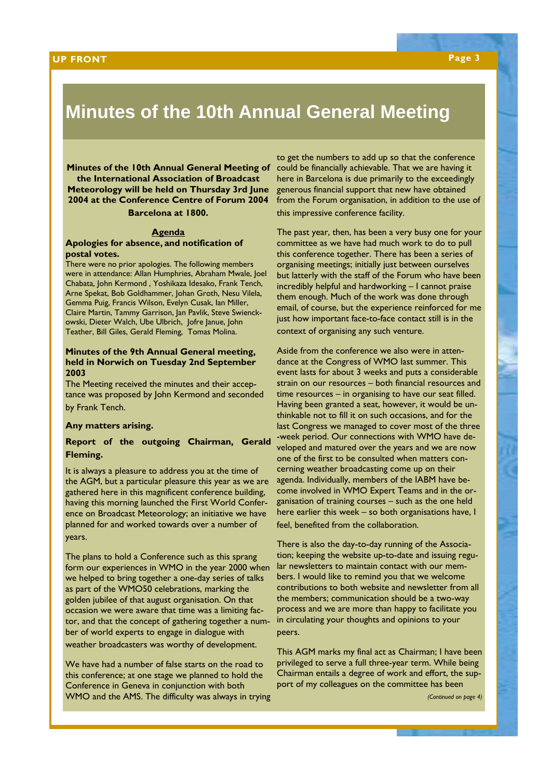# **Minutes of the 10th Annual General Meeting**

**Minutes of the 10th Annual General Meeting of the International Association of Broadcast Meteorology will be held on Thursday 3rd June 2004 at the Conference Centre of Forum 2004 Barcelona at 1800.**

### **Agenda**

## **Apologies for absence, and notification of postal votes.**

There were no prior apologies. The following members were in attendance: Allan Humphries, Abraham Mwale, Joel Chabata, John Kermond , Yoshikaza Idesako, Frank Tench, Arne Spekat, Bob Goldhammer, Johan Groth, Nesu Vilela, Gemma Puig, Francis Wilson, Evelyn Cusak, Ian Miller, Claire Martin, Tammy Garrison, Jan Pavlik, Steve Swienckowski, Dieter Walch, Ube Ulbrich, Jofre Janue, John Teather, Bill Giles, Gerald Fleming, Tomas Molina.

## **Minutes of the 9th Annual General meeting, held in Norwich on Tuesday 2nd September 2003**

The Meeting received the minutes and their acceptance was proposed by John Kermond and seconded by Frank Tench.

## **Any matters arising.**

## **Report of the outgoing Chairman, Gerald Fleming.**

It is always a pleasure to address you at the time of the AGM, but a particular pleasure this year as we are gathered here in this magnificent conference building, having this morning launched the First World Conference on Broadcast Meteorology; an initiative we have planned for and worked towards over a number of years.

The plans to hold a Conference such as this sprang form our experiences in WMO in the year 2000 when we helped to bring together a one-day series of talks as part of the WMO50 celebrations, marking the golden jubilee of that august organisation. On that occasion we were aware that time was a limiting factor, and that the concept of gathering together a number of world experts to engage in dialogue with

weather broadcasters was worthy of development.

We have had a number of false starts on the road to this conference; at one stage we planned to hold the Conference in Geneva in conjunction with both WMO and the AMS. The difficulty was always in trying

to get the numbers to add up so that the conference could be financially achievable. That we are having it here in Barcelona is due primarily to the exceedingly generous financial support that new have obtained from the Forum organisation, in addition to the use of this impressive conference facility.

The past year, then, has been a very busy one for your committee as we have had much work to do to pull this conference together. There has been a series of organising meetings; initially just between ourselves but latterly with the staff of the Forum who have been incredibly helpful and hardworking – I cannot praise them enough. Much of the work was done through email, of course, but the experience reinforced for me just how important face-to-face contact still is in the context of organising any such venture.

Aside from the conference we also were in attendance at the Congress of WMO last summer. This event lasts for about 3 weeks and puts a considerable strain on our resources – both financial resources and time resources – in organising to have our seat filled. Having been granted a seat, however, it would be unthinkable not to fill it on such occasions, and for the last Congress we managed to cover most of the three -week period. Our connections with WMO have developed and matured over the years and we are now one of the first to be consulted when matters concerning weather broadcasting come up on their agenda. Individually, members of the IABM have become involved in WMO Expert Teams and in the organisation of training courses – such as the one held here earlier this week – so both organisations have, I feel, benefited from the collaboration.

There is also the day-to-day running of the Association; keeping the website up-to-date and issuing regular newsletters to maintain contact with our members. I would like to remind you that we welcome contributions to both website and newsletter from all the members; communication should be a two-way process and we are more than happy to facilitate you in circulating your thoughts and opinions to your peers.

This AGM marks my final act as Chairman; I have been privileged to serve a full three-year term. While being Chairman entails a degree of work and effort, the support of my colleagues on the committee has been

*(Continued on page 4)*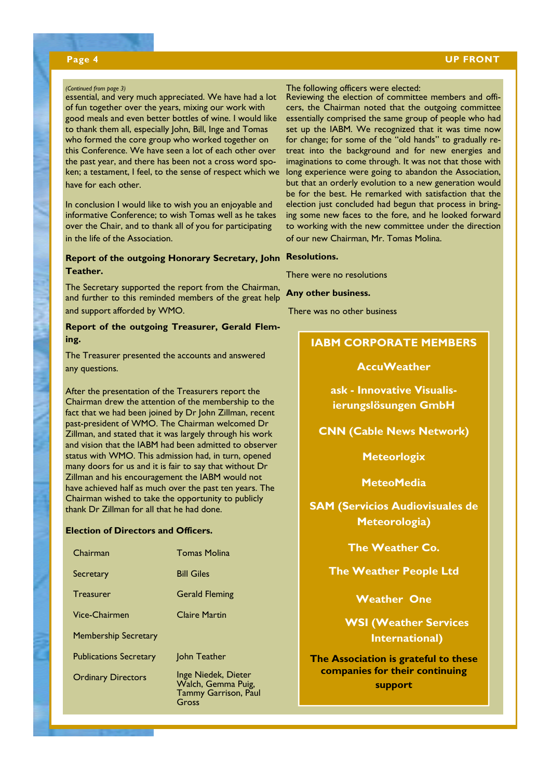## **Page 4 UP FRONT**

## *(Continued from page 3)*

essential, and very much appreciated. We have had a lot of fun together over the years, mixing our work with good meals and even better bottles of wine. I would like to thank them all, especially John, Bill, Inge and Tomas who formed the core group who worked together on this Conference. We have seen a lot of each other over the past year, and there has been not a cross word spoken; a testament, I feel, to the sense of respect which we have for each other.

In conclusion I would like to wish you an enjoyable and informative Conference; to wish Tomas well as he takes over the Chair, and to thank all of you for participating in the life of the Association.

## **Report of the outgoing Honorary Secretary, John Resolutions. Teather.**

The Secretary supported the report from the Chairman, and further to this reminded members of the great help and support afforded by WMO.

## **Report of the outgoing Treasurer, Gerald Fleming.**

The Treasurer presented the accounts and answered any questions.

After the presentation of the Treasurers report the Chairman drew the attention of the membership to the fact that we had been joined by Dr John Zillman, recent past-president of WMO. The Chairman welcomed Dr Zillman, and stated that it was largely through his work and vision that the IABM had been admitted to observer status with WMO. This admission had, in turn, opened many doors for us and it is fair to say that without Dr Zillman and his encouragement the IABM would not have achieved half as much over the past ten years. The Chairman wished to take the opportunity to publicly thank Dr Zillman for all that he had done.

## **Election of Directors and Officers.**

| <b>Tomas Molina</b>                                                               |
|-----------------------------------------------------------------------------------|
| <b>Bill Giles</b>                                                                 |
| <b>Gerald Fleming</b>                                                             |
| <b>Claire Martin</b>                                                              |
|                                                                                   |
| John Teather                                                                      |
| Inge Niedek, Dieter<br>Walch, Gemma Puig,<br><b>Tammy Garrison, Paul</b><br>Gross |
|                                                                                   |

## The following officers were elected:

Reviewing the election of committee members and officers, the Chairman noted that the outgoing committee essentially comprised the same group of people who had set up the IABM. We recognized that it was time now for change; for some of the "old hands" to gradually retreat into the background and for new energies and imaginations to come through. It was not that those with long experience were going to abandon the Association, but that an orderly evolution to a new generation would be for the best. He remarked with satisfaction that the election just concluded had begun that process in bringing some new faces to the fore, and he looked forward to working with the new committee under the direction of our new Chairman, Mr. Tomas Molina.

There were no resolutions

## **Any other business.**

There was no other business

## **IABM CORPORATE MEMBERS**

## **AccuWeather**

**ask - Innovative Visualisierungslösungen GmbH** 

## **CNN (Cable News Network)**

**Meteorlogix** 

## **MeteoMedia**

**SAM (Servicios Audiovisuales de Meteorologia)** 

**The Weather Co.** 

## **The Weather People Ltd**

**Weather One** 

**WSI (Weather Services International)** 

**The Association is grateful to these companies for their continuing support**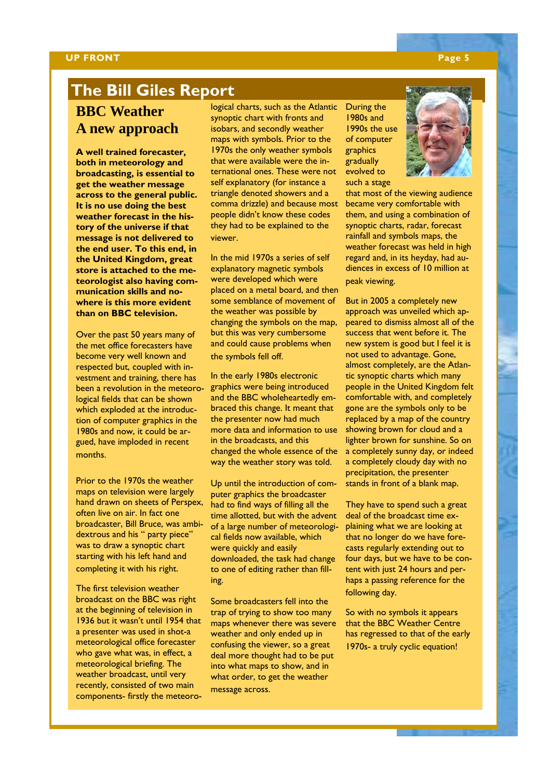## **UP FRONT** Page 5

## **The Bill Giles Report**

## **BBC Weather A new approach**

**A well trained forecaster, both in meteorology and broadcasting, is essential to get the weather message across to the general public. It is no use doing the best weather forecast in the history of the universe if that message is not delivered to the end user. To this end, in the United Kingdom, great store is attached to the meteorologist also having communication skills and nowhere is this more evident than on BBC television.** 

Over the past 50 years many of the met office forecasters have become very well known and respected but, coupled with investment and training, there has been a revolution in the meteorological fields that can be shown which exploded at the introduction of computer graphics in the 1980s and now, it could be argued, have imploded in recent months.

Prior to the 1970s the weather maps on television were largely hand drawn on sheets of Perspex, often live on air. In fact one broadcaster, Bill Bruce, was ambidextrous and his " party piece" was to draw a synoptic chart starting with his left hand and completing it with his right.

The first television weather broadcast on the BBC was right at the beginning of television in 1936 but it wasn't until 1954 that a presenter was used in shot-a meteorological office forecaster who gave what was, in effect, a meteorological briefing. The weather broadcast, until very recently, consisted of two main components- firstly the meteorological charts, such as the Atlantic synoptic chart with fronts and isobars, and secondly weather maps with symbols. Prior to the 1970s the only weather symbols that were available were the international ones. These were not self explanatory (for instance a triangle denoted showers and a comma drizzle) and because most people didn't know these codes they had to be explained to the viewer.

In the mid 1970s a series of self explanatory magnetic symbols were developed which were placed on a metal board, and then some semblance of movement of the weather was possible by changing the symbols on the map, but this was very cumbersome and could cause problems when the symbols fell off.

In the early 1980s electronic graphics were being introduced and the BBC wholeheartedly embraced this change. It meant that the presenter now had much more data and information to use in the broadcasts, and this changed the whole essence of the way the weather story was told.

Up until the introduction of computer graphics the broadcaster had to find ways of filling all the time allotted, but with the advent of a large number of meteorological fields now available, which were quickly and easily downloaded, the task had change to one of editing rather than filling.

Some broadcasters fell into the trap of trying to show too many maps whenever there was severe weather and only ended up in confusing the viewer, so a great deal more thought had to be put into what maps to show, and in what order, to get the weather message across.

During the 1980s and 1990s the use of computer graphics gradually evolved to such a stage



that most of the viewing audience became very comfortable with them, and using a combination of synoptic charts, radar, forecast rainfall and symbols maps, the weather forecast was held in high regard and, in its heyday, had audiences in excess of 10 million at peak viewing.

But in 2005 a completely new approach was unveiled which appeared to dismiss almost all of the success that went before it. The new system is good but I feel it is not used to advantage. Gone, almost completely, are the Atlantic synoptic charts which many people in the United Kingdom felt comfortable with, and completely gone are the symbols only to be replaced by a map of the country showing brown for cloud and a lighter brown for sunshine. So on a completely sunny day, or indeed a completely cloudy day with no precipitation, the presenter stands in front of a blank map.

They have to spend such a great deal of the broadcast time explaining what we are looking at that no longer do we have forecasts regularly extending out to four days, but we have to be content with just 24 hours and perhaps a passing reference for the following day.

So with no symbols it appears that the BBC Weather Centre has regressed to that of the early 1970s- a truly cyclic equation!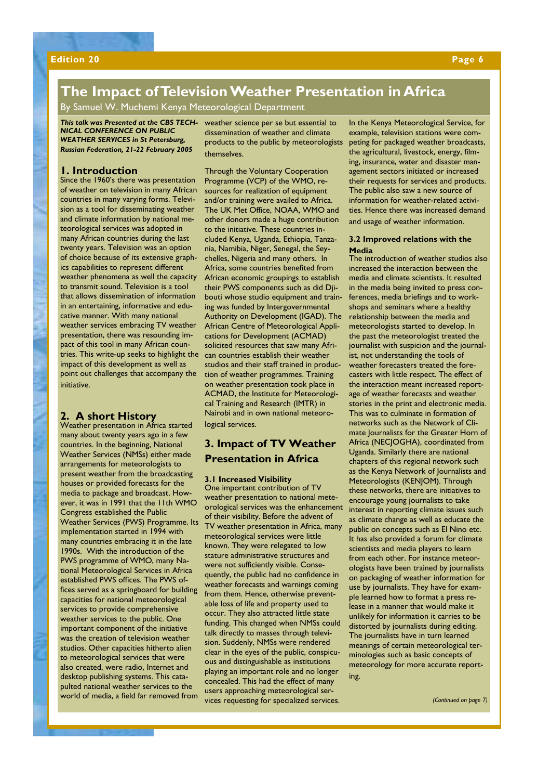## **The Impact of Television Weather Presentation in Africa**

By Samuel W. Muchemi Kenya Meteorological Department

*NICAL CONFERENCE ON PUBLIC WEATHER SERVICES in St Petersburg, Russian Federation, 21-22 February 2005* 

## **1. Introduction**

Since the 1960's there was presentation of weather on television in many African countries in many varying forms. Television as a tool for disseminating weather and climate information by national meteorological services was adopted in many African countries during the last twenty years. Television was an option of choice because of its extensive graphics capabilities to represent different weather phenomena as well the capacity to transmit sound. Television is a tool that allows dissemination of information in an entertaining, informative and educative manner. With many national weather services embracing TV weather presentation, there was resounding impact of this tool in many African countries. This write-up seeks to highlight the impact of this development as well as point out challenges that accompany the initiative.

## **2. A short History**

Weather presentation in Africa started many about twenty years ago in a few countries. In the beginning, National Weather Services (NMSs) either made arrangements for meteorologists to present weather from the broadcasting houses or provided forecasts for the media to package and broadcast. However, it was in 1991 that the 11th WMO Congress established the Public Weather Services (PWS) Programme. Its implementation started in 1994 with many countries embracing it in the late 1990s. With the introduction of the PWS programme of WMO, many National Meteorological Services in Africa established PWS offices. The PWS offices served as a springboard for building capacities for national meteorological services to provide comprehensive weather services to the public. One important component of the initiative was the creation of television weather studios. Other capacities hitherto alien to meteorological services that were also created, were radio, Internet and desktop publishing systems. This catapulted national weather services to the world of media, a field far removed from

*This talk was Presented at the CBS TECH-*weather science per se but essential to dissemination of weather and climate products to the public by meteorologists themselves.

> Through the Voluntary Cooperation Programme (VCP) of the WMO, resources for realization of equipment and/or training were availed to Africa. The UK Met Office, NOAA, WMO and other donors made a huge contribution to the initiative. These countries included Kenya, Uganda, Ethiopia, Tanzania, Namibia, Niger, Senegal, the Seychelles, Nigeria and many others. In Africa, some countries benefited from African economic groupings to establish their PWS components such as did Djibouti whose studio equipment and training was funded by Intergovernmental Authority on Development (IGAD). The African Centre of Meteorological Applications for Development (ACMAD) solicited resources that saw many African countries establish their weather studios and their staff trained in production of weather programmes. Training on weather presentation took place in ACMAD, the Institute for Meteorological Training and Research (IMTR) in Nairobi and in own national meteorological services.

## **3. Impact of TV Weather Presentation in Africa**

### **3.1 Increased Visibility**

One important contribution of TV weather presentation to national meteorological services was the enhancement of their visibility. Before the advent of TV weather presentation in Africa, many meteorological services were little known. They were relegated to low stature administrative structures and were not sufficiently visible. Consequently, the public had no confidence in weather forecasts and warnings coming from them. Hence, otherwise preventable loss of life and property used to occur. They also attracted little state funding. This changed when NMSs could talk directly to masses through television. Suddenly, NMSs were rendered clear in the eyes of the public, conspicuous and distinguishable as institutions playing an important role and no longer concealed. This had the effect of many users approaching meteorological services requesting for specialized services.

In the Kenya Meteorological Service, for example, television stations were competing for packaged weather broadcasts, the agricultural, livestock, energy, filming, insurance, water and disaster management sectors initiated or increased their requests for services and products. The public also saw a new source of information for weather-related activities. Hence there was increased demand and usage of weather information.

## **3.2 Improved relations with the Media**

The introduction of weather studios also increased the interaction between the media and climate scientists. It resulted in the media being invited to press conferences, media briefings and to workshops and seminars where a healthy relationship between the media and meteorologists started to develop. In the past the meteorologist treated the journalist with suspicion and the journalist, not understanding the tools of weather forecasters treated the forecasters with little respect. The effect of the interaction meant increased reportage of weather forecasts and weather stories in the print and electronic media. This was to culminate in formation of networks such as the Network of Climate Journalists for the Greater Horn of Africa (NECJOGHA), coordinated from Uganda. Similarly there are national chapters of this regional network such as the Kenya Network of Journalists and Meteorologists (KENJOM). Through these networks, there are initiatives to encourage young journalists to take interest in reporting climate issues such as climate change as well as educate the public on concepts such as El Nino etc. It has also provided a forum for climate scientists and media players to learn from each other. For instance meteorologists have been trained by journalists on packaging of weather information for use by journalists. They have for example learned how to format a press release in a manner that would make it unlikely for information it carries to be distorted by journalists during editing. The journalists have in turn learned meanings of certain meteorological terminologies such as basic concepts of meteorology for more accurate reporting.

*(Continued on page 7)*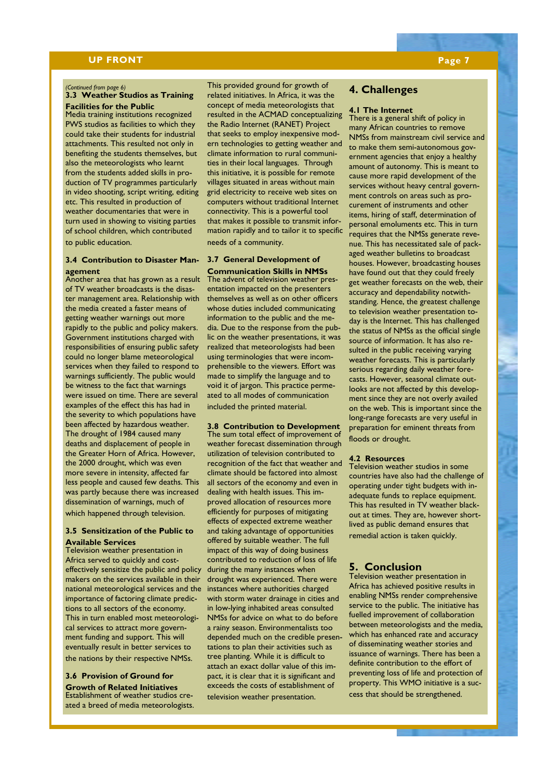## **UP FRONT Page 7**

### *(Continued from page 6)*

## **3.3 Weather Studios as Training Facilities for the Public**

Media training institutions recognized PWS studios as facilities to which they could take their students for industrial attachments. This resulted not only in benefiting the students themselves, but also the meteorologists who learnt from the students added skills in production of TV programmes particularly in video shooting, script writing, editing etc. This resulted in production of weather documentaries that were in turn used in showing to visiting parties of school children, which contributed to public education.

## **3.4 Contribution to Disaster Man-3.7 General Development of agement**

Another area that has grown as a result of TV weather broadcasts is the disaster management area. Relationship with the media created a faster means of getting weather warnings out more rapidly to the public and policy makers. Government institutions charged with responsibilities of ensuring public safety could no longer blame meteorological services when they failed to respond to warnings sufficiently. The public would be witness to the fact that warnings were issued on time. There are several examples of the effect this has had in the severity to which populations have been affected by hazardous weather. The drought of 1984 caused many deaths and displacement of people in the Greater Horn of Africa. However, the 2000 drought, which was even more severe in intensity, affected far less people and caused few deaths. This was partly because there was increased dissemination of warnings, much of which happened through television.

## **3.5 Sensitization of the Public to Available Services**

Television weather presentation in Africa served to quickly and costeffectively sensitize the public and policy makers on the services available in their national meteorological services and the instances where authorities charged importance of factoring climate predictions to all sectors of the economy. This in turn enabled most meteorological services to attract more government funding and support. This will eventually result in better services to the nations by their respective NMSs.

### **3.6 Provision of Ground for Growth of Related Initiatives**

Establishment of weather studios created a breed of media meteorologists.

This provided ground for growth of related initiatives. In Africa, it was the concept of media meteorologists that resulted in the ACMAD conceptualizing the Radio Internet (RANET) Project that seeks to employ inexpensive modern technologies to getting weather and climate information to rural communities in their local languages. Through this initiative, it is possible for remote villages situated in areas without main grid electricity to receive web sites on computers without traditional Internet connectivity. This is a powerful tool that makes it possible to transmit information rapidly and to tailor it to specific needs of a community.

**Communication Skills in NMSs**  The advent of television weather presentation impacted on the presenters themselves as well as on other officers whose duties included communicating information to the public and the media. Due to the response from the public on the weather presentations, it was realized that meteorologists had been using terminologies that were incomprehensible to the viewers. Effort was made to simplify the language and to void it of jargon. This practice permeated to all modes of communication included the printed material.

## **3.8 Contribution to Development**

The sum total effect of improvement of weather forecast dissemination through utilization of television contributed to recognition of the fact that weather and climate should be factored into almost all sectors of the economy and even in dealing with health issues. This improved allocation of resources more efficiently for purposes of mitigating effects of expected extreme weather and taking advantage of opportunities offered by suitable weather. The full impact of this way of doing business contributed to reduction of loss of life during the many instances when drought was experienced. There were with storm water drainage in cities and in low-lying inhabited areas consulted NMSs for advice on what to do before a rainy season. Environmentalists too depended much on the credible presentations to plan their activities such as tree planting. While it is difficult to attach an exact dollar value of this impact, it is clear that it is significant and exceeds the costs of establishment of television weather presentation.

## **4. Challenges**

### **4.1 The Internet**

There is a general shift of policy in many African countries to remove NMSs from mainstream civil service and to make them semi-autonomous government agencies that enjoy a healthy amount of autonomy. This is meant to cause more rapid development of the services without heavy central government controls on areas such as procurement of instruments and other items, hiring of staff, determination of personal emoluments etc. This in turn requires that the NMSs generate revenue. This has necessitated sale of packaged weather bulletins to broadcast houses. However, broadcasting houses have found out that they could freely get weather forecasts on the web, their accuracy and dependability notwithstanding. Hence, the greatest challenge to television weather presentation today is the Internet. This has challenged the status of NMSs as the official single source of information. It has also resulted in the public receiving varying weather forecasts. This is particularly serious regarding daily weather forecasts. However, seasonal climate outlooks are not affected by this development since they are not overly availed on the web. This is important since the long-range forecasts are very useful in preparation for eminent threats from floods or drought.

### **4.2 Resources**

Television weather studios in some countries have also had the challenge of operating under tight budgets with inadequate funds to replace equipment. This has resulted in TV weather blackout at times. They are, however shortlived as public demand ensures that remedial action is taken quickly.

## **5. Conclusion**

Television weather presentation in Africa has achieved positive results in enabling NMSs render comprehensive service to the public. The initiative has fuelled improvement of collaboration between meteorologists and the media, which has enhanced rate and accuracy of disseminating weather stories and issuance of warnings. There has been a definite contribution to the effort of preventing loss of life and protection of property. This WMO initiative is a success that should be strengthened.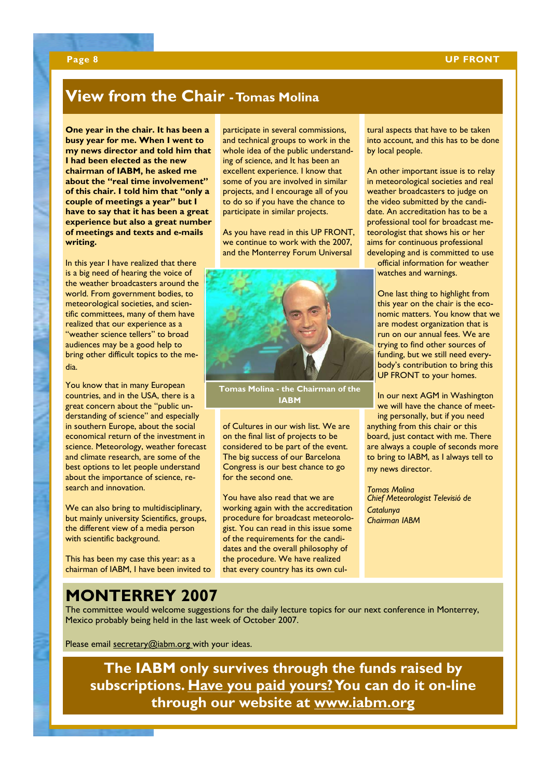## **Page 8 UP FRONT**

## **View from the Chair - Tomas Molina**

**One year in the chair. It has been a busy year for me. When I went to my news director and told him that I had been elected as the new chairman of IABM, he asked me about the "real time involvement" of this chair. I told him that "only a couple of meetings a year" but I have to say that it has been a great experience but also a great number of meetings and texts and e-mails writing.** 

In this year I have realized that there is a big need of hearing the voice of the weather broadcasters around the world. From government bodies, to meteorological societies, and scientific committees, many of them have realized that our experience as a "weather science tellers" to broad audiences may be a good help to bring other difficult topics to the media.

You know that in many European countries, and in the USA, there is a great concern about the "public understanding of science" and especially in southern Europe, about the social economical return of the investment in science. Meteorology, weather forecast and climate research, are some of the best options to let people understand about the importance of science, research and innovation.

We can also bring to multidisciplinary, but mainly university Scientifics, groups, the different view of a media person with scientific background.

This has been my case this year: as a chairman of IABM, I have been invited to participate in several commissions, and technical groups to work in the whole idea of the public understanding of science, and It has been an excellent experience. I know that some of you are involved in similar projects, and I encourage all of you to do so if you have the chance to participate in similar projects.

As you have read in this UP FRONT, we continue to work with the 2007, and the Monterrey Forum Universal



**Tomas Molina - the Chairman of the IABM** 

of Cultures in our wish list. We are on the final list of projects to be considered to be part of the event. The big success of our Barcelona Congress is our best chance to go for the second one.

You have also read that we are working again with the accreditation procedure for broadcast meteorologist. You can read in this issue some of the requirements for the candidates and the overall philosophy of the procedure. We have realized that every country has its own cultural aspects that have to be taken into account, and this has to be done by local people.

An other important issue is to relay in meteorological societies and real weather broadcasters to judge on the video submitted by the candidate. An accreditation has to be a professional tool for broadcast meteorologist that shows his or her aims for continuous professional developing and is committed to use official information for weather watches and warnings.

One last thing to highlight from this year on the chair is the economic matters. You know that we are modest organization that is run on our annual fees. We are trying to find other sources of funding, but we still need everybody's contribution to bring this UP FRONT to your homes.

In our next AGM in Washington we will have the chance of meeting personally, but if you need anything from this chair or this board, just contact with me. There are always a couple of seconds more to bring to IABM, as I always tell to my news director.

*Tomas Molina Chief Meteorologist Televisió de Catalunya Chairman IABM* 

## **MONTERREY 2007**

The committee would welcome suggestions for the daily lecture topics for our next conference in Monterrey, Mexico probably being held in the last week of October 2007.

Please email secretary@iabm.org with your ideas.

**The IABM only survives through the funds raised by subscriptions. Have you paid yours? You can do it on-line through our website at www.iabm.org**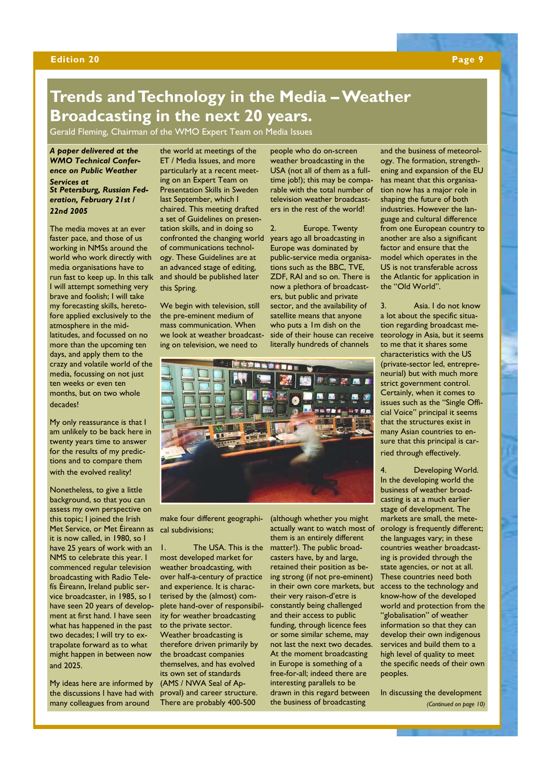### **Edition 20 Page 9**

## **Trends and Technology in the Media – Weather Broadcasting in the next 20 years.**

Gerald Fleming, Chairman of the WMO Expert Team on Media Issues

## *A paper delivered at the WMO Technical Conference on Public Weather*

### *Services at St Petersburg, Russian Federation, February 21st / 22nd 2005*

The media moves at an ever faster pace, and those of us working in NMSs around the world who work directly with media organisations have to run fast to keep up. In this talk I will attempt something very brave and foolish; I will take my forecasting skills, heretofore applied exclusively to the atmosphere in the midlatitudes, and focussed on no more than the upcoming ten days, and apply them to the crazy and volatile world of the media, focussing on not just ten weeks or even ten months, but on two whole decades!

My only reassurance is that I am unlikely to be back here in twenty years time to answer for the results of my predictions and to compare them with the evolved reality!

Nonetheless, to give a little background, so that you can assess my own perspective on this topic; I joined the Irish Met Service, or Met Éireann as it is now called, in 1980, so I have 25 years of work with an NMS to celebrate this year. I commenced regular television broadcasting with Radio Telefís Éireann, Ireland public service broadcaster, in 1985, so I have seen 20 years of development at first hand. I have seen what has happened in the past two decades; I will try to extrapolate forward as to what might happen in between now and 2025.

My ideas here are informed by the discussions I have had with many colleagues from around

the world at meetings of the ET / Media Issues, and more particularly at a recent meeting on an Expert Team on Presentation Skills in Sweden last September, which I chaired. This meeting drafted a set of Guidelines on presentation skills, and in doing so confronted the changing world of communications technology. These Guidelines are at an advanced stage of editing, and should be published later this Spring.

We begin with television, still the pre-eminent medium of mass communication. When we look at weather broadcasting on television, we need to

people who do on-screen weather broadcasting in the USA (not all of them as a fulltime job!); this may be comparable with the total number of television weather broadcasters in the rest of the world!

Europe. Twenty years ago all broadcasting in Europe was dominated by public-service media organisations such as the BBC, TVE, ZDF, RAI and so on. There is now a plethora of broadcasters, but public and private sector, and the availability of satellite means that anyone who puts a 1m dish on the side of their house can receive literally hundreds of channels



make four different geographical subdivisions;

1. The USA. This is the most developed market for weather broadcasting, with over half-a-century of practice and experience. It is characterised by the (almost) complete hand-over of responsibility for weather broadcasting to the private sector. Weather broadcasting is therefore driven primarily by the broadcast companies themselves, and has evolved its own set of standards (AMS / NWA Seal of Approval) and career structure. There are probably 400-500

(although whether you might actually want to watch most of them is an entirely different matter!). The public broadcasters have, by and large, retained their position as being strong (if not pre-eminent) in their own core markets, but their very raison-d'etre is constantly being challenged and their access to public funding, through licence fees or some similar scheme, may not last the next two decades. At the moment broadcasting in Europe is something of a free-for-all; indeed there are interesting parallels to be drawn in this regard between the business of broadcasting

and the business of meteorology. The formation, strengthening and expansion of the EU has meant that this organisation now has a major role in shaping the future of both industries. However the language and cultural difference from one European country to another are also a significant factor and ensure that the model which operates in the US is not transferable across the Atlantic for application in the "Old World".

3. Asia. I do not know a lot about the specific situation regarding broadcast meteorology in Asia, but it seems to me that it shares some characteristics with the US (private-sector led, entrepreneurial) but with much more strict government control. Certainly, when it comes to issues such as the "Single Official Voice" principal it seems that the structures exist in many Asian countries to ensure that this principal is carried through effectively.

Developing World. In the developing world the business of weather broadcasting is at a much earlier stage of development. The markets are small, the meteorology is frequently different; the languages vary; in these countries weather broadcasting is provided through the state agencies, or not at all. These countries need both access to the technology and know-how of the developed world and protection from the "globalisation" of weather information so that they can develop their own indigenous services and build them to a high level of quality to meet the specific needs of their own peoples.

In discussing the development *(Continued on page 10)*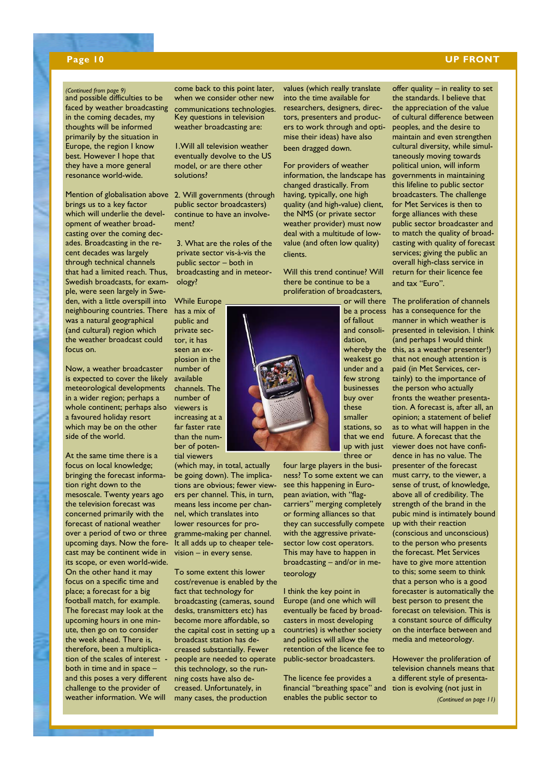## **Page 10 UP FRONT**

### *(Continued from page 9)*

and possible difficulties to be faced by weather broadcasting in the coming decades, my thoughts will be informed primarily by the situation in Europe, the region I know best. However I hope that they have a more general resonance world-wide.

Mention of globalisation above 2. Will governments (through brings us to a key factor which will underlie the development of weather broadcasting over the coming decades. Broadcasting in the recent decades was largely through technical channels that had a limited reach. Thus, Swedish broadcasts, for example, were seen largely in Sweden, with a little overspill into neighbouring countries. There was a natural geographical (and cultural) region which the weather broadcast could focus on.

Now, a weather broadcaster is expected to cover the likely meteorological developments in a wider region; perhaps a whole continent; perhaps also a favoured holiday resort which may be on the other side of the world.

At the same time there is a focus on local knowledge; bringing the forecast information right down to the mesoscale. Twenty years ago the television forecast was concerned primarily with the forecast of national weather over a period of two or three upcoming days. Now the forecast may be continent wide in its scope, or even world-wide. On the other hand it may focus on a specific time and place; a forecast for a big football match, for example. The forecast may look at the upcoming hours in one minute, then go on to consider the week ahead. There is, therefore, been a multiplication of the scales of interest both in time and in space – and this poses a very different challenge to the provider of weather information. We will

come back to this point later, when we consider other new communications technologies. Key questions in television weather broadcasting are:

1.Will all television weather eventually devolve to the US model, or are there other solutions?

public sector broadcasters) continue to have an involvement?

3. What are the roles of the private sector vis-à-vis the public sector – both in broadcasting and in meteorology?

While Europe has a mix of public and private sector, it has seen an explosion in the number of available channels. The number of viewers is increasing at a far faster rate than the number of poten-

tial viewers

(which may, in total, actually be going down). The implications are obvious; fewer viewers per channel. This, in turn, means less income per channel, which translates into lower resources for programme-making per channel. It all adds up to cheaper television – in every sense.

To some extent this lower cost/revenue is enabled by the fact that technology for broadcasting (cameras, sound desks, transmitters etc) has become more affordable, so the capital cost in setting up a broadcast station has decreased substantially. Fewer people are needed to operate this technology, so the running costs have also decreased. Unfortunately, in many cases, the production

values (which really translate into the time available for researchers, designers, directors, presenters and producers to work through and optimise their ideas) have also been dragged down.

For providers of weather information, the landscape has changed drastically. From having, typically, one high quality (and high-value) client, the NMS (or private sector weather provider) must now deal with a multitude of lowvalue (and often low quality) clients.

Will this trend continue? Will there be continue to be a proliferation of broadcasters,

> or will there be a process of fallout and consolidation, whereby the weakest go under and a few strong businesses buy over these smaller stations, so that we end up with just three or

four large players in the business? To some extent we can see this happening in European aviation, with "flagcarriers" merging completely or forming alliances so that they can successfully compete with the aggressive privatesector low cost operators. This may have to happen in broadcasting – and/or in meteorology

I think the key point in Europe (and one which will eventually be faced by broadcasters in most developing countries) is whether society and politics will allow the retention of the licence fee to public-sector broadcasters.

The licence fee provides a financial "breathing space" and tion is evolving (not just in enables the public sector to

offer quality – in reality to set the standards. I believe that the appreciation of the value of cultural difference between peoples, and the desire to maintain and even strengthen cultural diversity, while simultaneously moving towards political union, will inform governments in maintaining this lifeline to public sector broadcasters. The challenge for Met Services is then to forge alliances with these public sector broadcaster and to match the quality of broadcasting with quality of forecast services; giving the public an overall high-class service in return for their licence fee and tax "Euro".

The proliferation of channels has a consequence for the manner in which weather is presented in television. I think (and perhaps I would think this, as a weather presenter!) that not enough attention is paid (in Met Services, certainly) to the importance of the person who actually fronts the weather presentation. A forecast is, after all, an opinion; a statement of belief as to what will happen in the future. A forecast that the viewer does not have confidence in has no value. The presenter of the forecast must carry, to the viewer, a sense of trust, of knowledge, above all of credibility. The strength of the brand in the pubic mind is intimately bound up with their reaction (conscious and unconscious) to the person who presents the forecast. Met Services have to give more attention to this; some seem to think that a person who is a good forecaster is automatically the best person to present the forecast on television. This is a constant source of difficulty on the interface between and media and meteorology.

However the proliferation of television channels means that a different style of presenta-*(Continued on page 11)* 

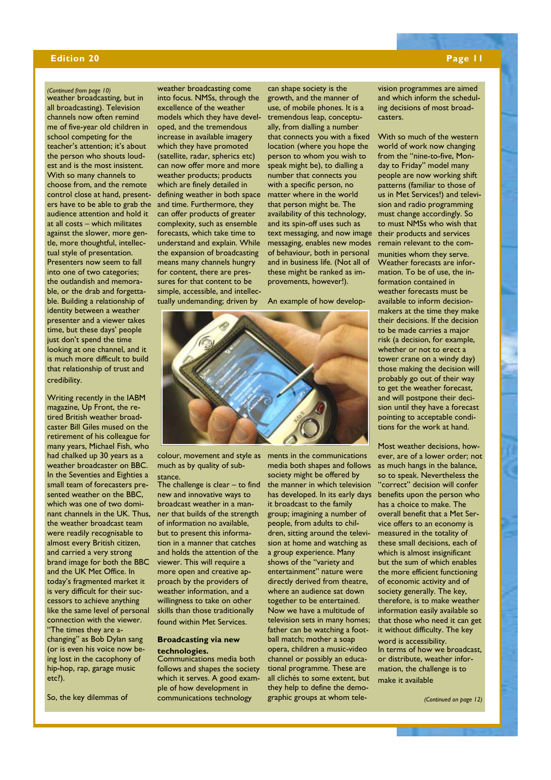## **Edition 20** Page 11

## *(Continued from page 10)*

weather broadcasting, but in all broadcasting). Television channels now often remind me of five-year old children in school competing for the teacher's attention; it's about the person who shouts loudest and is the most insistent. With so many channels to choose from, and the remote control close at hand, presenters have to be able to grab the audience attention and hold it at all costs – which militates against the slower, more gentle, more thoughtful, intellectual style of presentation. Presenters now seem to fall into one of two categories; the outlandish and memorable, or the drab and forgettable. Building a relationship of identity between a weather presenter and a viewer takes time, but these days' people just don't spend the time looking at one channel, and it is much more difficult to build that relationship of trust and credibility.

Writing recently in the IABM magazine, Up Front, the retired British weather broadcaster Bill Giles mused on the retirement of his colleague for many years, Michael Fish, who had chalked up 30 years as a weather broadcaster on BBC. In the Seventies and Eighties a small team of forecasters presented weather on the BBC, which was one of two dominant channels in the UK. Thus, ner that builds of the strength the weather broadcast team were readily recognisable to almost every British citizen, and carried a very strong brand image for both the BBC and the UK Met Office. In today's fragmented market it is very difficult for their successors to achieve anything like the same level of personal connection with the viewer. "The times they are a-

changing" as Bob Dylan sang (or is even his voice now being lost in the cacophony of hip-hop, rap, garage music etc?).

So, the key dilemmas of

weather broadcasting come into focus. NMSs, through the excellence of the weather models which they have developed, and the tremendous increase in available imagery which they have promoted (satellite, radar, spherics etc) can now offer more and more weather products; products which are finely detailed in defining weather in both space and time. Furthermore, they can offer products of greater complexity, such as ensemble forecasts, which take time to understand and explain. While the expansion of broadcasting means many channels hungry for content, there are pressures for that content to be simple, accessible, and intellectually undemanding; driven by

can shape society is the growth, and the manner of use, of mobile phones. It is a tremendous leap, conceptually, from dialling a number that connects you with a fixed location (where you hope the person to whom you wish to speak might be), to dialling a number that connects you with a specific person, no matter where in the world that person might be. The availability of this technology, and its spin-off uses such as text messaging, and now image messaging, enables new modes of behaviour, both in personal and in business life. (Not all of these might be ranked as im-

An example of how develop-

provements, however!).



colour, movement and style as much as by quality of substance.

The challenge is clear – to find new and innovative ways to broadcast weather in a manof information no available, but to present this information in a manner that catches and holds the attention of the viewer. This will require a more open and creative approach by the providers of weather information, and a willingness to take on other skills than those traditionally found within Met Services.

### **Broadcasting via new technologies.**

Communications media both follows and shapes the society which it serves. A good example of how development in communications technology

ments in the communications media both shapes and follows society might be offered by the manner in which television has developed. In its early days it broadcast to the family group; imagining a number of people, from adults to children, sitting around the television at home and watching as a group experience. Many shows of the "variety and entertainment" nature were directly derived from theatre, where an audience sat down together to be entertained. Now we have a multitude of television sets in many homes; father can be watching a football match; mother a soap opera, children a music-video channel or possibly an educational programme. These are all clichés to some extent, but they help to define the demographic groups at whom television programmes are aimed and which inform the scheduling decisions of most broadcasters.

With so much of the western world of work now changing from the "nine-to-five, Monday to Friday" model many people are now working shift patterns (familiar to those of us in Met Services!) and television and radio programming must change accordingly. So to must NMSs who wish that their products and services remain relevant to the com-

munities whom they serve. Weather forecasts are information. To be of use, the information contained in weather forecasts must be available to inform decisionmakers at the time they make their decisions. If the decision to be made carries a major risk (a decision, for example, whether or not to erect a tower crane on a windy day) those making the decision will probably go out of their way to get the weather forecast, and will postpone their decision until they have a forecast pointing to acceptable conditions for the work at hand.

Most weather decisions, however, are of a lower order; not as much hangs in the balance, so to speak. Nevertheless the "correct" decision will confer benefits upon the person who has a choice to make. The overall benefit that a Met Service offers to an economy is measured in the totality of these small decisions, each of which is almost insignificant but the sum of which enables the more efficient functioning of economic activity and of society generally. The key, therefore, is to make weather information easily available so that those who need it can get it without difficulty. The key word is accessibility. In terms of how we broadcast, or distribute, weather information, the challenge is to make it available

*(Continued on page 12)*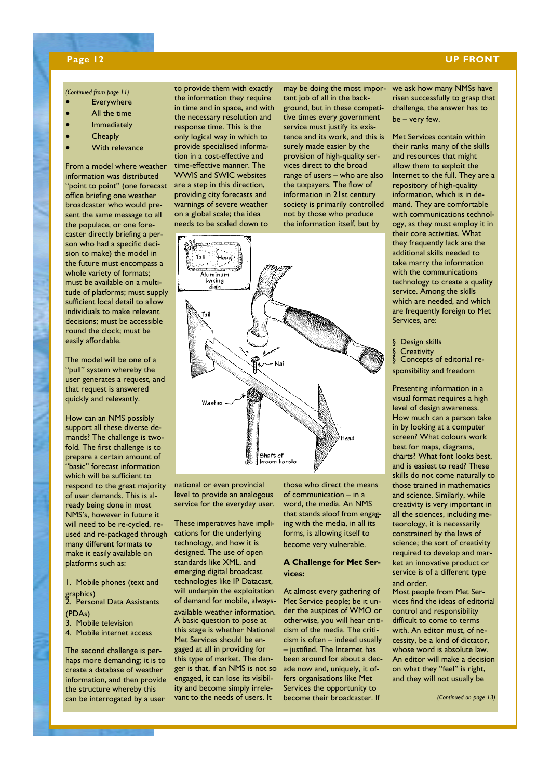## **Page 12 UP FRONT**

### *(Continued from page 11)*

- Everywhere
- All the time
- Immediately
- **Cheaply**
- With relevance

From a model where weather information was distributed "point to point" (one forecast office briefing one weather broadcaster who would present the same message to all the populace, or one forecaster directly briefing a person who had a specific decision to make) the model in the future must encompass a whole variety of formats; must be available on a multitude of platforms; must supply sufficient local detail to allow individuals to make relevant decisions; must be accessible round the clock; must be easily affordable.

The model will be one of a "pull" system whereby the user generates a request, and that request is answered quickly and relevantly.

How can an NMS possibly support all these diverse demands? The challenge is twofold. The first challenge is to prepare a certain amount of .<br>"basic" forecast information which will be sufficient to respond to the great majority of user demands. This is already being done in most NMS's, however in future it will need to be re-cycled, reused and re-packaged through many different formats to make it easily available on platforms such as:

1. Mobile phones (text and graphics)

2. Personal Data Assistants (PDAs)

- 3. Mobile television
- 4. Mobile internet access

The second challenge is perhaps more demanding; it is to create a database of weather information, and then provide the structure whereby this can be interrogated by a user

to provide them with exactly the information they require in time and in space, and with the necessary resolution and response time. This is the only logical way in which to provide specialised information in a cost-effective and time-effective manner. The WWIS and SWIC websites are a step in this direction, providing city forecasts and warnings of severe weather on a global scale; the idea needs to be scaled down to

may be doing the most important job of all in the background, but in these competitive times every government service must justify its existence and its work, and this is surely made easier by the provision of high-quality services direct to the broad range of users – who are also the taxpayers. The flow of information in 21st century society is primarily controlled not by those who produce the information itself, but by



national or even provincial level to provide an analogous service for the everyday user.

These imperatives have implications for the underlying technology, and how it is designed. The use of open standards like XML, and emerging digital broadcast technologies like IP Datacast, will underpin the exploitation of demand for mobile, alwaysavailable weather information. A basic question to pose at this stage is whether National Met Services should be engaged at all in providing for this type of market. The danger is that, if an NMS is not so engaged, it can lose its visibility and become simply irrelevant to the needs of users. It

those who direct the means of communication – in a word, the media. An NMS that stands aloof from engaging with the media, in all its forms, is allowing itself to become very vulnerable.

## **A Challenge for Met Services:**

At almost every gathering of Met Service people; be it under the auspices of WMO or otherwise, you will hear criticism of the media. The criticism is often – indeed usually – justified. The Internet has been around for about a decade now and, uniquely, it offers organisations like Met Services the opportunity to become their broadcaster. If

we ask how many NMSs have risen successfully to grasp that challenge, the answer has to be – very few.

Met Services contain within their ranks many of the skills and resources that might allow them to exploit the Internet to the full. They are a repository of high-quality information, which is in demand. They are comfortable with communications technology, as they must employ it in their core activities. What they frequently lack are the additional skills needed to take marry the information with the communications technology to create a quality service. Among the skills which are needed, and which are frequently foreign to Met Services, are:

§ Design skills

§ Creativity

§ Concepts of editorial responsibility and freedom

Presenting information in a visual format requires a high level of design awareness. How much can a person take in by looking at a computer screen? What colours work best for maps, diagrams, charts? What font looks best, and is easiest to read? These skills do not come naturally to those trained in mathematics and science. Similarly, while creativity is very important in all the sciences, including meteorology, it is necessarily constrained by the laws of science; the sort of creativity required to develop and market an innovative product or service is of a different type and order.

Most people from Met Services find the ideas of editorial control and responsibility difficult to come to terms with. An editor must, of necessity, be a kind of dictator, whose word is absolute law. An editor will make a decision on what they "feel" is right, and they will not usually be

*(Continued on page 13)*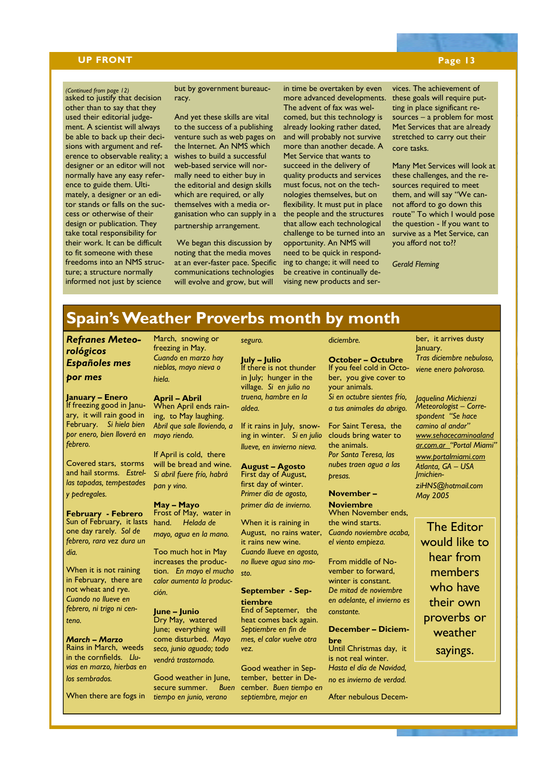## **UP FRONT** Page 13

## asked to justify that decision *(Continued from page 12)*  other than to say that they used their editorial judgement. A scientist will always be able to back up their decisions with argument and reference to observable reality; a designer or an editor will not normally have any easy reference to guide them. Ultimately, a designer or an editor stands or falls on the success or otherwise of their design or publication. They take total responsibility for their work. It can be difficult to fit someone with these freedoms into an NMS structure; a structure normally informed not just by science

## but by government bureaucracy.

And yet these skills are vital to the success of a publishing venture such as web pages on the Internet. An NMS which wishes to build a successful web-based service will normally need to either buy in the editorial and design skills which are required, or ally themselves with a media organisation who can supply in a partnership arrangement.

 We began this discussion by noting that the media moves at an ever-faster pace. Specific communications technologies will evolve and grow, but will

in time be overtaken by even more advanced developments. The advent of fax was welcomed, but this technology is already looking rather dated, and will probably not survive more than another decade. A Met Service that wants to succeed in the delivery of quality products and services must focus, not on the technologies themselves, but on flexibility. It must put in place the people and the structures that allow each technological challenge to be turned into an opportunity. An NMS will need to be quick in responding to change; it will need to be creative in continually devising new products and ser-

vices. The achievement of these goals will require putting in place significant resources – a problem for most Met Services that are already stretched to carry out their core tasks.

Many Met Services will look at these challenges, and the resources required to meet them, and will say "We cannot afford to go down this route" To which I would pose the question - If you want to survive as a Met Service, can you afford not to??

*Gerald Fleming*

## **Spain's Weather Proverbs month by month**

*Refranes Meteorológicos Españoles mes por mes* 

**January – Enero**  If freezing good in January, it will rain good in February. *Si hiela bien por enero, bien lloverá en febrero.* 

Covered stars, storms and hail storms. *Estrellas tapadas, tempestades y pedregales.* 

**February - Febrero**  Sun of February, it lasts one day rarely. *Sol de febrero, rara vez dura un día.* 

When it is not raining in February, there are not wheat and rye. *Cuando no llueve en febrero, ni trigo ni centeno.* 

*March – Marzo*  Rains in March, weeds in the cornfields. *Lluvias en marzo, hierbas en los sembrados.* 

When there are fogs in

March, snowing or freezing in May. *Cuando en marzo hay nieblas, mayo nieva o hiela.* 

### **April – Abril**  When April ends rain-

ing, to May laughing. *Abril que sale lloviendo, a mayo riendo.* 

If April is cold, there will be bread and wine. *Si abril fuere frío, habrá pan y vino.* 

## **May – Mayo**

Frost of May, water in hand. *Helada de mayo, agua en la mano.* 

Too much hot in May increases the production. *En mayo el mucho calor aumenta la producción.* 

**June – Junio**  Dry May, watered June; everything will come disturbed. *Mayo seco, junio aguado; todo vendrá trastornado.* 

Good weather in June, secure summer. *Buen tiempo en junio, verano* 

## **July – Julio**

*seguro.* 

If there is not thunder in July; hunger in the village. *Si en julio no truena, hambre en la aldea.* 

If it rains in July, snowing in winter. *Si en julio llueve, en invierno nieva.* 

**August – Agosto**  First day of August, first day of winter. *Primer día de agosto, primer día de invierno.* 

When it is raining in August, no rains water, it rains new wine. *Cuando llueve en agosto, no llueve agua sino mosto.* 

## **September - Septiembre**

End of Septemer, the heat comes back again. *Septiembre en fin de mes, el calor vuelve otra vez.* 

Good weather in September, better in December. *Buen tiempo en septiembre, mejor en* 

**October – Octubre**  If you feel cold in October, you give cover to your animals. *Si en octubre sientes frío,* 

*diciembre.* 

*a tus animales da abrigo.* 

For Saint Teresa, the clouds bring water to the animals. *Por Santa Teresa, las nubes traen agua a las presas.* 

**November – Noviembre**  When November ends. the wind starts. *Cuando noviembre acaba, el viento empieza.* 

From middle of November to forward, winter is constant. *De mitad de noviembre en adelante, el invierno es constante.* 

## **December – Diciem-**

**bre**  Until Christmas day, it is not real winter. *Hasta el día de Navidad, no es invierno de verdad.* 

After nebulous Decem-

ber, it arrives dusty January. *Tras diciembre nebuloso, viene enero polvoroso.* 

*Jaquelina Michienzi Meteorologist – Correspondent "Se hace camino al andar" www.sehacecaminoaland ar.com.ar "Portal Miami" www.portalmiami.com Atlanta, GA – USA JmichienziHNS@hotmail.com May 2005* 

The Editor would like to hear from members who have their own proverbs or weather sayings.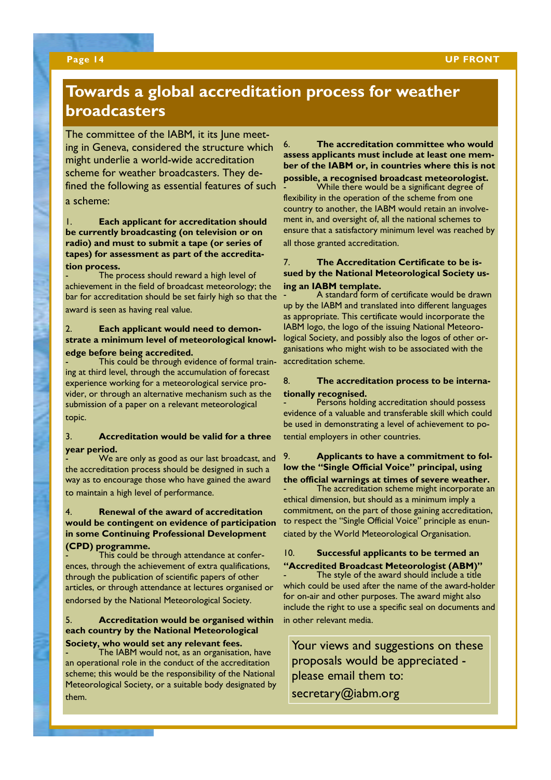## **Towards a global accreditation process for weather broadcasters**

The committee of the IABM, it its June meeting in Geneva, considered the structure which might underlie a world-wide accreditation scheme for weather broadcasters. They defined the following as essential features of such a scheme:

1. **Each applicant for accreditation should be currently broadcasting (on television or on radio) and must to submit a tape (or series of tapes) for assessment as part of the accreditation process.**

The process should reward a high level of achievement in the field of broadcast meteorology; the bar for accreditation should be set fairly high so that the award is seen as having real value.

## 2. **Each applicant would need to demonstrate a minimum level of meteorological knowledge before being accredited.**

This could be through evidence of formal training at third level, through the accumulation of forecast experience working for a meteorological service provider, or through an alternative mechanism such as the submission of a paper on a relevant meteorological topic.

## 3. **Accreditation would be valid for a three year period.**

We are only as good as our last broadcast, and the accreditation process should be designed in such a way as to encourage those who have gained the award to maintain a high level of performance.

## 4. **Renewal of the award of accreditation would be contingent on evidence of participation in some Continuing Professional Development (CPD) programme.**

- This could be through attendance at conferences, through the achievement of extra qualifications, through the publication of scientific papers of other articles, or through attendance at lectures organised or endorsed by the National Meteorological Society.

## 5. **Accreditation would be organised within each country by the National Meteorological**

## **Society, who would set any relevant fees.**

- The IABM would not, as an organisation, have an operational role in the conduct of the accreditation scheme; this would be the responsibility of the National Meteorological Society, or a suitable body designated by them.

6. **The accreditation committee who would assess applicants must include at least one member of the IABM or, in countries where this is not possible, a recognised broadcast meteorologist.** 

While there would be a significant degree of flexibility in the operation of the scheme from one country to another, the IABM would retain an involvement in, and oversight of, all the national schemes to ensure that a satisfactory minimum level was reached by all those granted accreditation.

## 7. **The Accreditation Certificate to be issued by the National Meteorological Society using an IABM template.**

- A standard form of certificate would be drawn up by the IABM and translated into different languages as appropriate. This certificate would incorporate the IABM logo, the logo of the issuing National Meteorological Society, and possibly also the logos of other organisations who might wish to be associated with the accreditation scheme.

## 8. **The accreditation process to be internationally recognised.**

Persons holding accreditation should possess evidence of a valuable and transferable skill which could be used in demonstrating a level of achievement to potential employers in other countries.

## 9. **Applicants to have a commitment to follow the "Single Official Voice" principal, using the official warnings at times of severe weather.**

The accreditation scheme might incorporate an ethical dimension, but should as a minimum imply a commitment, on the part of those gaining accreditation, to respect the "Single Official Voice" principle as enunciated by the World Meteorological Organisation.

## 10. **Successful applicants to be termed an "Accredited Broadcast Meteorologist (ABM)"**

The style of the award should include a title which could be used after the name of the award-holder for on-air and other purposes. The award might also include the right to use a specific seal on documents and in other relevant media.

Your views and suggestions on these proposals would be appreciated please email them to: secretary@iabm.org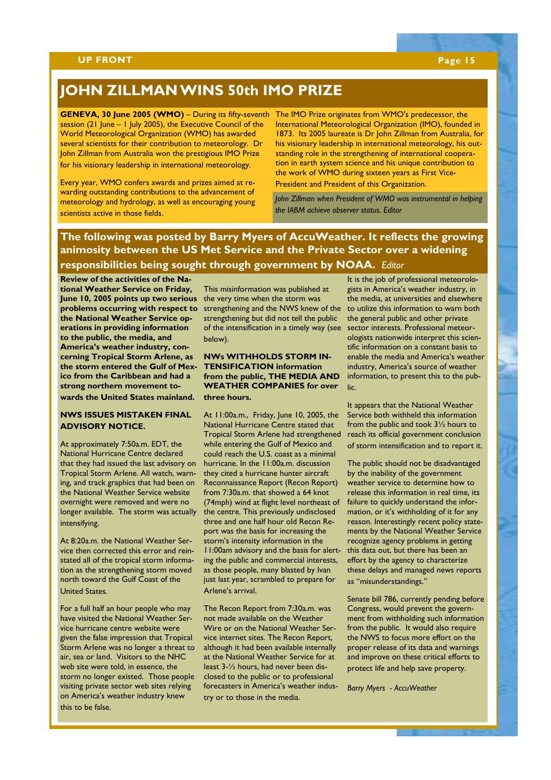## **JOHN ZILLMAN WINS 50th IMO PRIZE**

GENEVA, 30 June 2005 (WMO) – During its fifty-seventh The IMO Prize originates from WMO's predecessor, the session (21 June – 1 July 2005), the Executive Council of the World Meteorological Organization (WMO) has awarded several scientists for their contribution to meteorology. Dr John Zillman from Australia won the prestigious IMO Prize for his visionary leadership in international meteorology.

Every year, WMO confers awards and prizes aimed at rewarding outstanding contributions to the advancement of meteorology and hydrology, as well as encouraging young scientists active in those fields.

International Meteorological Organization (IMO), founded in 1873. Its 2005 laureate is Dr John Zillman from Australia, for his visionary leadership in international meteorology, his outstanding role in the strengthening of international cooperation in earth system science and his unique contribution to the work of WMO during sixteen years as First Vice-

President and President of this Organization.

*John Zillman when President of WMO was instrumental in helping the IABM achieve observer status. Editor* 

## **The following was posted by Barry Myers of AccuWeather. It reflects the growing animosity between the US Met Service and the Private Sector over a widening responsibilities being sought through government by NOAA.** *Editor*

**Review of the activities of the National Weather Service on Friday,**  June 10, 2005 points up two serious the very time when the storm was problems occurring with respect to strengthening and the NWS knew of the **the National Weather Service operations in providing information to the public, the media, and America's weather industry, concerning Tropical Storm Arlene, as the storm entered the Gulf of Mexico from the Caribbean and had a strong northern movement to-**

**wards the United States mainland.** 

## **NWS ISSUES MISTAKEN FINAL ADVISORY NOTICE.**

At approximately 7:50a.m. EDT, the National Hurricane Centre declared that they had issued the last advisory on Tropical Storm Arlene. All watch, warning, and track graphics that had been on the National Weather Service website overnight were removed and were no longer available. The storm was actually intensifying.

At 8:20a.m. the National Weather Service then corrected this error and reinstated all of the tropical storm information as the strengthening storm moved north toward the Gulf Coast of the United States.

For a full half an hour people who may have visited the National Weather Service hurricane centre website were given the false impression that Tropical Storm Arlene was no longer a threat to air, sea or land. Visitors to the NHC web site were told, in essence, the storm no longer existed. Those people visiting private sector web sites relying on America's weather industry knew this to be false.

This misinformation was published at strengthening but did not tell the public of the intensification in a timely way (see below).

## **NWs WITHHOLDS STORM IN-TENSIFICATION information from the public, THE MEDIA AND WEATHER COMPANIES for over three hours.**

At 11:00a.m., Friday, June 10, 2005, the National Hurricane Centre stated that Tropical Storm Arlene had strengthened while entering the Gulf of Mexico and could reach the U.S. coast as a minimal hurricane. In the 11:00a.m. discussion they cited a hurricane hunter aircraft Reconnaissance Report (Recon Report) from 7:30a.m. that showed a 64 knot (74mph) wind at flight level northeast of the centre. This previously undisclosed three and one half hour old Recon Report was the basis for increasing the storm's intensity information in the 11:00am advisory and the basis for alerting the public and commercial interests, as those people, many blasted by Ivan just last year, scrambled to prepare for Arlene's arrival.

The Recon Report from 7:30a.m. was not made available on the Weather Wire or on the National Weather Service internet sites. The Recon Report, although it had been available internally at the National Weather Service for at least 3-½ hours, had never been disclosed to the public or to professional forecasters in America's weather industry or to those in the media.

It is the job of professional meteorologists in America's weather industry, in the media, at universities and elsewhere to utilize this information to warn both the general public and other private sector interests. Professional meteorologists nationwide interpret this scientific information on a constant basis to enable the media and America's weather industry, America's source of weather information, to present this to the public.

It appears that the National Weather Service both withheld this information from the public and took 3½ hours to reach its official government conclusion of storm intensification and to report it.

The public should not be disadvantaged by the inability of the government weather service to determine how to release this information in real time, its failure to quickly understand the information, or it's withholding of it for any reason. Interestingly recent policy statements by the National Weather Service recognize agency problems in getting this data out, but there has been an effort by the agency to characterize these delays and managed news reports as "misunderstandings."

Senate bill 786, currently pending before Congress, would prevent the government from withholding such information from the public. It would also require the NWS to focus more effort on the proper release of its data and warnings and improve on these critical efforts to protect life and help save property.

*Barry Myers - AccuWeather*